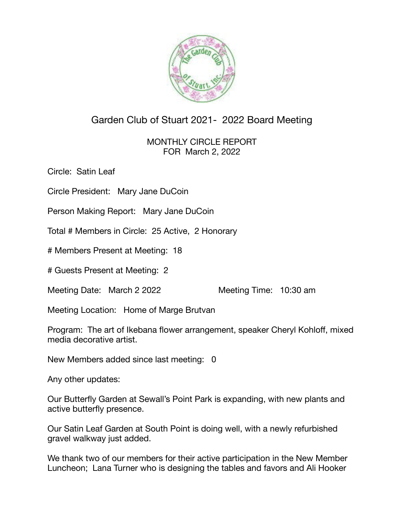

## Garden Club of Stuart 2021- 2022 Board Meeting

MONTHLY CIRCLE REPORT FOR March 2, 2022

Circle: Satin Leaf

Circle President: Mary Jane DuCoin

Person Making Report: Mary Jane DuCoin

Total # Members in Circle: 25 Active, 2 Honorary

# Members Present at Meeting: 18

# Guests Present at Meeting: 2

Meeting Date: March 2 2022 Meeting Time: 10:30 am

Meeting Location: Home of Marge Brutvan

Program: The art of Ikebana flower arrangement, speaker Cheryl Kohloff, mixed media decorative artist.

New Members added since last meeting: 0

Any other updates:

Our Butterfly Garden at Sewall's Point Park is expanding, with new plants and active butterfly presence.

Our Satin Leaf Garden at South Point is doing well, with a newly refurbished gravel walkway just added.

We thank two of our members for their active participation in the New Member Luncheon; Lana Turner who is designing the tables and favors and Ali Hooker